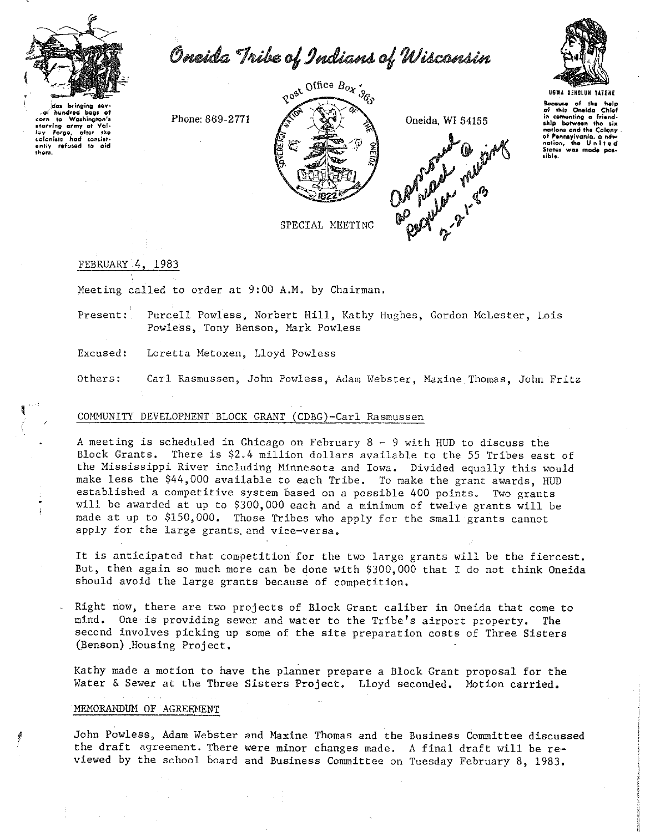

اه .

coloniste on the refused to<br>them.

 $\cdot$ 

Oneida Tribe of Indians of Wisconsin



hundred bags of corn to Washington ing<br>Forge, L.<br>Inad Valntter the consist

Phone: 869-2771



Oneida, WI 54155

**Opportunity many** 

Bocause of the help<br>of this Oneida Chief comonting a friendship between the six nations and the Colony navîstra<br>of Pennsylvania, a nev nation the United was mode pos-States sible.

SPECIAL MEETING

## FEBRUARY 4, 1983

Meeting called to order at 9:00 A.M. by Chairman.

Purcell Powless, Norbert Hill, Kathy Hughes, Gordon McLester, Lois Present: Powless, Tony Benson, Mark Powless

Loretta Metoxen, Lloyd Powless Excused:

Others: Carl Rasmussen, John Powless, Adam Webster, Maxine Thomas, John Fritz

## COMMUNITY DEVELOPMENT BLOCK GRANT (CDBG)-Carl Rasmussen

A meeting is scheduled in Chicago on February  $8 - 9$  with HUD to discuss the Block Grants. There is \$2.4 million dollars available to the 55 Tribes east of the Mississippi River including Minnesota and Iowa. Divided equally this would make less the \$44,000 available to each Tribe. To make the grant awards, HUD established a competitive system based on a possible 400 points. Two grants will be awarded at up to \$300,000 each and a minimum of twelve grants will be made at up to \$150,000. Those Tribes who apply for the small grants cannot apply for the large grants and vice-versa.

It is anticipated that competition for the two large grants will be the fiercest. But, then again so much more can be done with \$300,000 that I do not think Oneida should avoid the large grants because of competition.

Right now, there are two projects of Block Grant caliber in Oneida that come to mind. One is providing sewer and water to the Tribe's airport property. The second involves picking up some of the site preparation costs of Three Sisters (Benson) Housing Project.

Kathy made a motion to have the planner prepare a Block Grant proposal for the Water & Sewer at the Three Sisters Project. Lloyd seconded. Motion carried.

## MEMORANDUM OF AGREEMENT

John Powless, Adam Webster and Maxine Thomas and the Business Committee discussed the draft agreement. There were minor changes made. A final draft will be reviewed by the school board and Business Committee on Tuesday February 8, 1983.